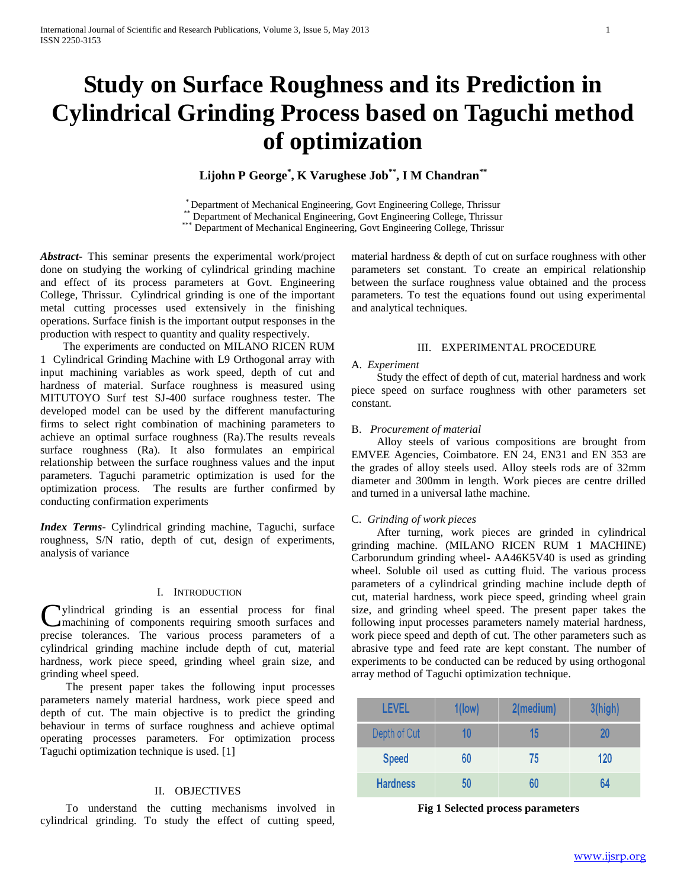# **Study on Surface Roughness and its Prediction in Cylindrical Grinding Process based on Taguchi method of optimization**

**Lijohn P George\* , K Varughese Job\*\* , I M Chandran\*\***

\* Department of Mechanical Engineering, Govt Engineering College, Thrissur

Department of Mechanical Engineering, Govt Engineering College, Thrissur

\*\*\* Department of Mechanical Engineering, Govt Engineering College, Thrissur

*Abstract***-** This seminar presents the experimental work/project done on studying the working of cylindrical grinding machine and effect of its process parameters at Govt. Engineering College, Thrissur. Cylindrical grinding is one of the important metal cutting processes used extensively in the finishing operations. Surface finish is the important output responses in the production with respect to quantity and quality respectively.

 The experiments are conducted on MILANO RICEN RUM 1 Cylindrical Grinding Machine with L9 Orthogonal array with input machining variables as work speed, depth of cut and hardness of material. Surface roughness is measured using MITUTOYO Surf test SJ-400 surface roughness tester. The developed model can be used by the different manufacturing firms to select right combination of machining parameters to achieve an optimal surface roughness (Ra).The results reveals surface roughness (Ra). It also formulates an empirical relationship between the surface roughness values and the input parameters. Taguchi parametric optimization is used for the optimization process. The results are further confirmed by conducting confirmation experiments

*Index Terms*- Cylindrical grinding machine, Taguchi, surface roughness, S/N ratio, depth of cut, design of experiments, analysis of variance

## I. INTRODUCTION

Uylindrical grinding is an essential process for final machining of components requiring smooth surfaces and machining of components requiring smooth surfaces and precise tolerances. The various process parameters of a cylindrical grinding machine include depth of cut, material hardness, work piece speed, grinding wheel grain size, and grinding wheel speed.

 The present paper takes the following input processes parameters namely material hardness, work piece speed and depth of cut. The main objective is to predict the grinding behaviour in terms of surface roughness and achieve optimal operating processes parameters. For optimization process Taguchi optimization technique is used. [1]

# II. OBJECTIVES

 To understand the cutting mechanisms involved in cylindrical grinding. To study the effect of cutting speed,

material hardness & depth of cut on surface roughness with other parameters set constant. To create an empirical relationship between the surface roughness value obtained and the process parameters. To test the equations found out using experimental and analytical techniques.

# III. EXPERIMENTAL PROCEDURE

## A. *Experiment*

 Study the effect of depth of cut, material hardness and work piece speed on surface roughness with other parameters set constant.

#### B. *Procurement of material*

 Alloy steels of various compositions are brought from EMVEE Agencies, Coimbatore. EN 24, EN31 and EN 353 are the grades of alloy steels used. Alloy steels rods are of 32mm diameter and 300mm in length. Work pieces are centre drilled and turned in a universal lathe machine.

## C. *Grinding of work pieces*

 After turning, work pieces are grinded in cylindrical grinding machine. (MILANO RICEN RUM 1 MACHINE) Carborundum grinding wheel- AA46K5V40 is used as grinding wheel. Soluble oil used as cutting fluid. The various process parameters of a cylindrical grinding machine include depth of cut, material hardness, work piece speed, grinding wheel grain size, and grinding wheel speed. The present paper takes the following input processes parameters namely material hardness, work piece speed and depth of cut. The other parameters such as abrasive type and feed rate are kept constant. The number of experiments to be conducted can be reduced by using orthogonal array method of Taguchi optimization technique.

| <b>LEVEL</b>    | $1$ (low) | 2(medium) | 3(high) |
|-----------------|-----------|-----------|---------|
| Depth of Cut    | 10        | 15        | 20      |
| <b>Speed</b>    | 60        | 75        | 120     |
| <b>Hardness</b> | 50        | 60        | 64      |

**Fig 1 Selected process parameters**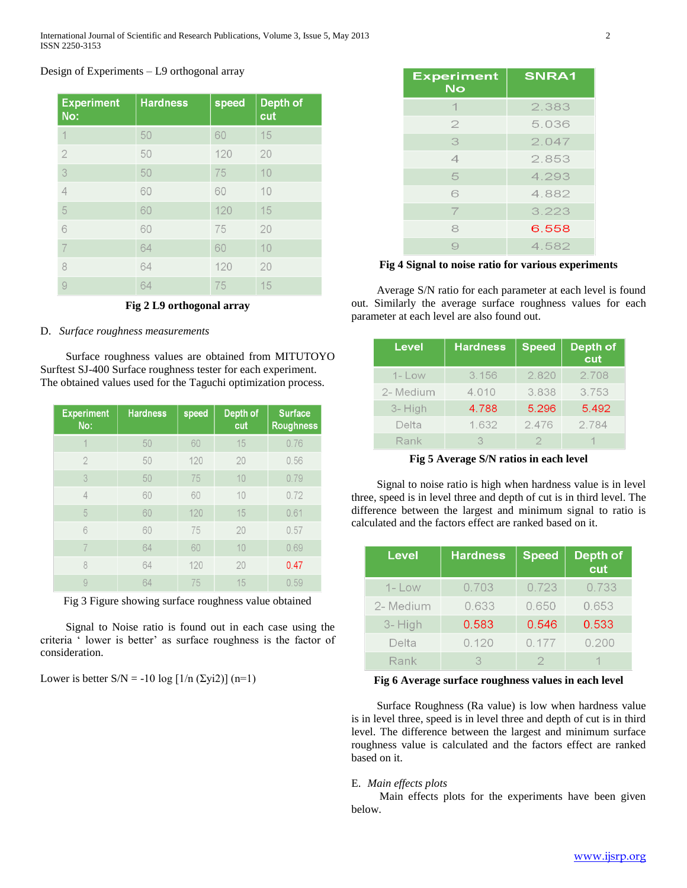# Design of Experiments – L9 orthogonal array

| <b>Experiment</b><br>No: | <b>Hardness</b> | speed | <b>Depth of</b><br>cut |
|--------------------------|-----------------|-------|------------------------|
| 1                        | 50              | 60    | 15                     |
| $\overline{2}$           | 50              | 120   | 20                     |
| 3                        | 50              | 75    | 10                     |
| $\overline{4}$           | 60              | 60    | 10                     |
| 5                        | 60              | 120   | 15                     |
| 6                        | 60              | 75    | 20                     |
|                          | 64              | 60    | 10                     |
| 8                        | 64              | 120   | 20                     |
| 9                        | 64              | 75    | 15                     |

**Fig 2 L9 orthogonal array**

# D. *Surface roughness measurements*

 Surface roughness values are obtained from MITUTOYO Surftest SJ-400 Surface roughness tester for each experiment. The obtained values used for the Taguchi optimization process.

| <b>Experiment</b><br>No: | <b>Hardness</b> | speed | Depth of<br>cut | <b>Surface</b><br><b>Roughness</b> |
|--------------------------|-----------------|-------|-----------------|------------------------------------|
| $\overline{\mathcal{A}}$ | 50              | 60    | 15              | 0.76                               |
| $\overline{2}$           | 50              | 120   | 20              | 0.56                               |
| 3                        | 50              | 75    | 10              | 0.79                               |
| $\overline{4}$           | 60              | 60    | 10              | 0.72                               |
| 5                        | 60              | 120   | 15              | 0.61                               |
| 6                        | 60              | 75    | 20              | 0.57                               |
|                          | 64              | 60    | 10              | 0.69                               |
| 8                        | 64              | 120   | 20              | 0.47                               |
| 9                        | 64              | 75    | 15              | 0.59                               |

Fig 3 Figure showing surface roughness value obtained

 Signal to Noise ratio is found out in each case using the criteria ' lower is better' as surface roughness is the factor of consideration.

Lower is better  $S/N = -10 \log [1/n (\Sigma yi2)] (n=1)$ 

| <b>Experiment</b><br><b>No</b> | <b>SNRA1</b> |
|--------------------------------|--------------|
| 1                              | 2.383        |
| 2                              | 5.036        |
| 3                              | 2.047        |
| $\overline{\mathcal{A}}$       | 2.853        |
| 5                              | 4.293        |
| 6                              | 4.882        |
| 7                              | 3.223        |
| 8                              | 6.558        |
| 9                              | 4.582        |

**Fig 4 Signal to noise ratio for various experiments**

 Average S/N ratio for each parameter at each level is found out. Similarly the average surface roughness values for each parameter at each level are also found out.

| <b>Level</b> | <b>Hardness</b> | <b>Speed</b> | Depth of<br>cut |
|--------------|-----------------|--------------|-----------------|
| $1 - Low$    | 3.156           | 2.820        | 2.708           |
| 2- Medium    | 4.010           | 3.838        | 3.753           |
| 3-High       | 4.788           | 5.296        | 5.492           |
| Delta        | 1.632           | 2.476        | 2.784           |
| Rank         | 3               |              |                 |

**Fig 5 Average S/N ratios in each level**

 Signal to noise ratio is high when hardness value is in level three, speed is in level three and depth of cut is in third level. The difference between the largest and minimum signal to ratio is calculated and the factors effect are ranked based on it.

| Level     | <b>Hardness</b> | <b>Speed</b> | Depth of<br>cut |
|-----------|-----------------|--------------|-----------------|
| $1 -$ Low | 0.703           | 0.723        | 0.733           |
| 2- Medium | 0.633           | 0.650        | 0.653           |
| 3-High    | 0.583           | 0.546        | 0.533           |
| Delta     | 0.120           | 0.177        | 0.200           |
| Rank      | R               |              |                 |

# **Fig 6 Average surface roughness values in each level**

 Surface Roughness (Ra value) is low when hardness value is in level three, speed is in level three and depth of cut is in third level. The difference between the largest and minimum surface roughness value is calculated and the factors effect are ranked based on it.

# E. *Main effects plots*

 Main effects plots for the experiments have been given below.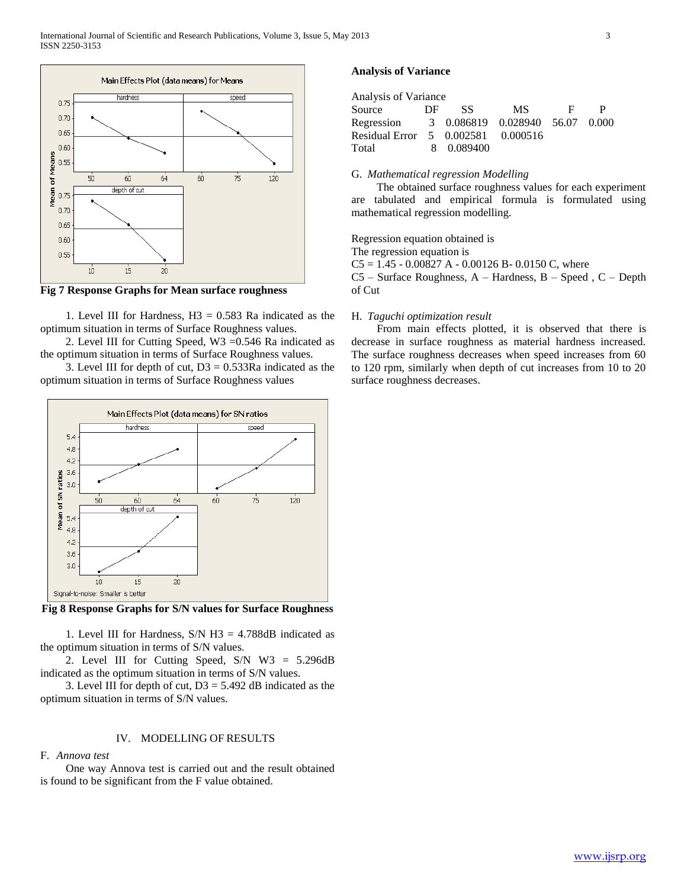

**Fig 7 Response Graphs for Mean surface roughness**

1. Level III for Hardness,  $H3 = 0.583$  Ra indicated as the optimum situation in terms of Surface Roughness values.

 2. Level III for Cutting Speed, W3 =0.546 Ra indicated as the optimum situation in terms of Surface Roughness values.

3. Level III for depth of cut,  $D3 = 0.533Ra$  indicated as the optimum situation in terms of Surface Roughness values



**Fig 8 Response Graphs for S/N values for Surface Roughness**

1. Level III for Hardness,  $S/N$  H3 = 4.788dB indicated as the optimum situation in terms of S/N values.

 2. Level III for Cutting Speed, S/N W3 = 5.296dB indicated as the optimum situation in terms of S/N values.

3. Level III for depth of cut,  $D3 = 5.492$  dB indicated as the optimum situation in terms of S/N values.

# IV. MODELLING OF RESULTS

## F. *Annova test*

 One way Annova test is carried out and the result obtained is found to be significant from the F value obtained.

# **Analysis of Variance**

| Analysis of Variance               |     |            |                                 |   |  |
|------------------------------------|-----|------------|---------------------------------|---|--|
| Source                             | DE. | SS.        | MS -                            | E |  |
| Regression                         |     |            | 3 0.086819 0.028940 56.07 0.000 |   |  |
| Residual Error 5 0.002581 0.000516 |     |            |                                 |   |  |
| Total                              |     | 8 0.089400 |                                 |   |  |

# G. *Mathematical regression Modelling*

 The obtained surface roughness values for each experiment are tabulated and empirical formula is formulated using mathematical regression modelling.

Regression equation obtained is

The regression equation is

 $CS = 1.45 - 0.00827$  A - 0.00126 B- 0.0150 C, where

C5 – Surface Roughness, A – Hardness, B – Speed , C – Depth of Cut

# H. *Taguchi optimization result*

 From main effects plotted, it is observed that there is decrease in surface roughness as material hardness increased. The surface roughness decreases when speed increases from 60 to 120 rpm, similarly when depth of cut increases from 10 to 20 surface roughness decreases.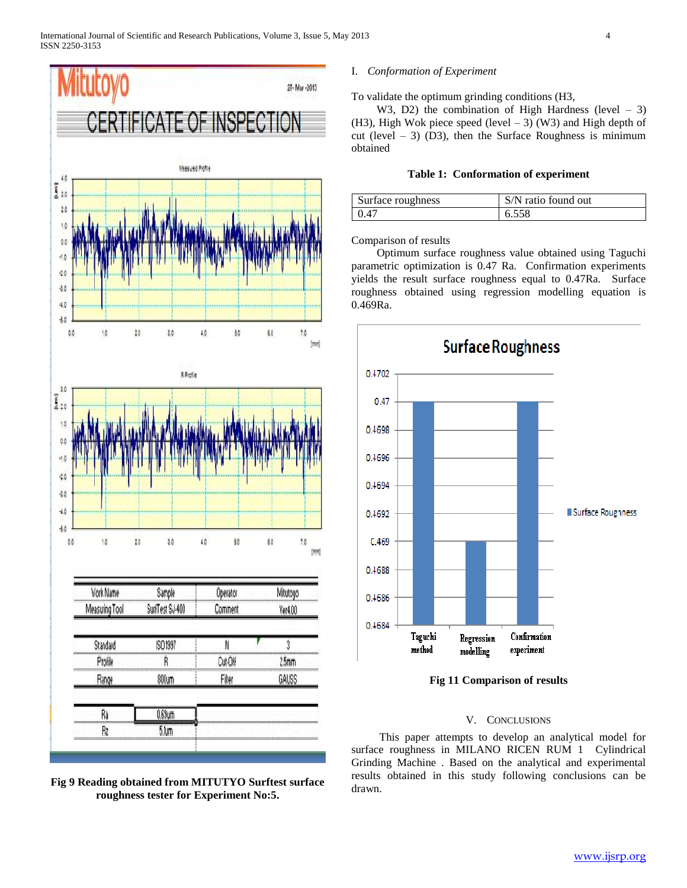

**Fig 9 Reading obtained from MITUTYO Surftest surface roughness tester for Experiment No:5.**

# I. *Conformation of Experiment*

To validate the optimum grinding conditions (H3,

W3, D2) the combination of High Hardness (level  $-3$ ) (H3), High Wok piece speed (level  $-$  3) (W3) and High depth of cut (level  $-3$ ) (D3), then the Surface Roughness is minimum obtained

# **Table 1: Conformation of experiment**

| Surface roughness | S/N ratio found out |
|-------------------|---------------------|
| 10.47             | 6.558               |

Comparison of results

 Optimum surface roughness value obtained using Taguchi parametric optimization is 0.47 Ra. Confirmation experiments yields the result surface roughness equal to 0.47Ra. Surface roughness obtained using regression modelling equation is 0.469Ra.



**Fig 11 Comparison of results**

# V. CONCLUSIONS

 This paper attempts to develop an analytical model for surface roughness in MILANO RICEN RUM 1 Cylindrical Grinding Machine . Based on the analytical and experimental results obtained in this study following conclusions can be drawn.